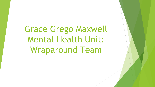Grace Grego Maxwell Mental Health Unit: Wraparound Team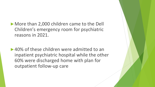►More than 2,000 children came to the Dell Children's emergency room for psychiatric reasons in 2021.

► 40% of these children were admitted to an inpatient psychiatric hospital while the other 60% were discharged home with plan for outpatient follow-up care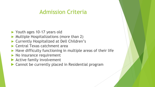## Admission Criteria

- ► Youth ages 10-17 years old
- ► Multiple Hospitalizations (more than 2)
- ► Currently Hospitalized at Dell Children's
- ► Central Texas catchment area
- $\blacktriangleright$  Have difficulty functioning in multiple areas of their life
- ► No insurance requirement
- ▶ Active family involvement
- ▶ Cannot be currently placed in Residential program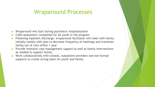## Wraparound Processes

- Wraparound will start during psychiatric hospitalization
- CANS assessment completed for all youth in the program
- Following inpatient discharge, wraparound facilitator will meet with family initially weekly with plan to decrease frequency of meetings and transition family out of care within 1 year
- ► Provide intensive case management support as well as family interventions as needed to support family
- ► Work collaboratively with schools, outpatient providers and non-formal supports to create strong team for youth and family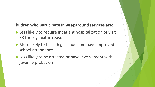## **Children who participate in wraparound services are:**

- ► Less likely to require inpatient hospitalization or visit ER for psychiatric reasons
- ► More likely to finish high school and have improved school attendance
- ► Less likely to be arrested or have involvement with juvenile probation